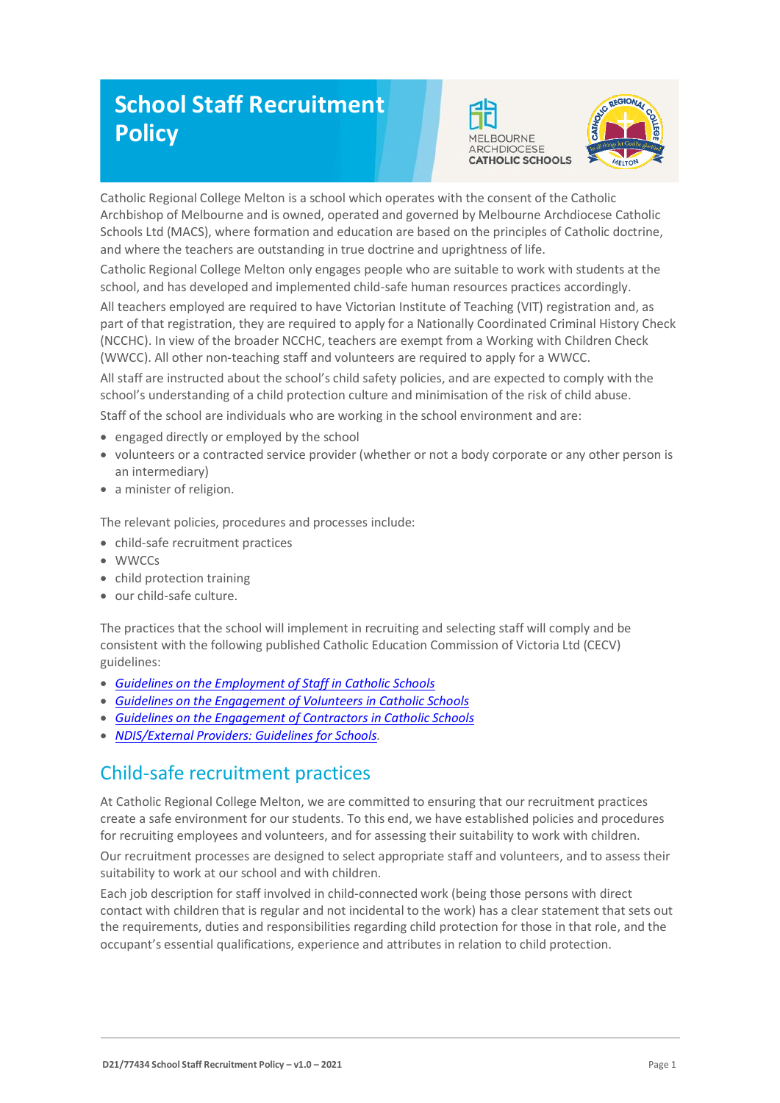# **School Staff Recruitment Policy**





Catholic Regional College Melton is a school which operates with the consent of the Catholic Archbishop of Melbourne and is owned, operated and governed by Melbourne Archdiocese Catholic Schools Ltd (MACS), where formation and education are based on the principles of Catholic doctrine, and where the teachers are outstanding in true doctrine and uprightness of life.

Catholic Regional College Melton only engages people who are suitable to work with students at the school, and has developed and implemented child-safe human resources practices accordingly.

All teachers employed are required to have Victorian Institute of Teaching (VIT) registration and, as part of that registration, they are required to apply for a Nationally Coordinated Criminal History Check (NCCHC). In view of the broader NCCHC, teachers are exempt from a Working with Children Check (WWCC). All other non-teaching staff and volunteers are required to apply for a WWCC.

All staff are instructed about the school's child safety policies, and are expected to comply with the school's understanding of a child protection culture and minimisation of the risk of child abuse.

Staff of the school are individuals who are working in the school environment and are:

- engaged directly or employed by the school
- volunteers or a contracted service provider (whether or not a body corporate or any other person is an intermediary)
- a minister of religion.

The relevant policies, procedures and processes include:

- child-safe recruitment practices
- WWCCs
- child protection training
- our child-safe culture.

The practices that the school will implement in recruiting and selecting staff will comply and be consistent with the following published Catholic Education Commission of Victoria Ltd (CECV) guidelines:

- *Guidelines on the [Employment of Staff in Catholic Schools](https://www.cecv.catholic.edu.au/getmedia/0393d7fb-2fb9-4e48-a05e-56b703dd62eb/Employment-Guidelines.aspx)*
- *[Guidelines on the Engagement of Volunteers in Catholic Schools](https://www.cecv.catholic.edu.au/Media-Files/IR/Policies-Guidelines/Volunteers/Guidelines-on-the-Engagement-of-Volunteers.aspx)*
- *[Guidelines on the Engagement of Contractors in Catholic Schools](https://www.cecv.catholic.edu.au/Media-Files/IR/Policies-Guidelines/Staff,-Contractors,-Volunteers/Contractor-Guidelines.aspx)*
- *[NDIS/External Providers: Guidelines for Schools.](https://www.cecv.catholic.edu.au/getmedia/cec12bdf-5e03-4d3a-ac47-504fe084f415/NDIS-External-Providers-Guidelines.aspx?ext=.pdf)*

## Child-safe recruitment practices

At Catholic Regional College Melton, we are committed to ensuring that our recruitment practices create a safe environment for our students. To this end, we have established policies and procedures for recruiting employees and volunteers, and for assessing their suitability to work with children.

Our recruitment processes are designed to select appropriate staff and volunteers, and to assess their suitability to work at our school and with children.

Each job description for staff involved in child-connected work (being those persons with direct contact with children that is regular and not incidental to the work) has a clear statement that sets out the requirements, duties and responsibilities regarding child protection for those in that role, and the occupant's essential qualifications, experience and attributes in relation to child protection.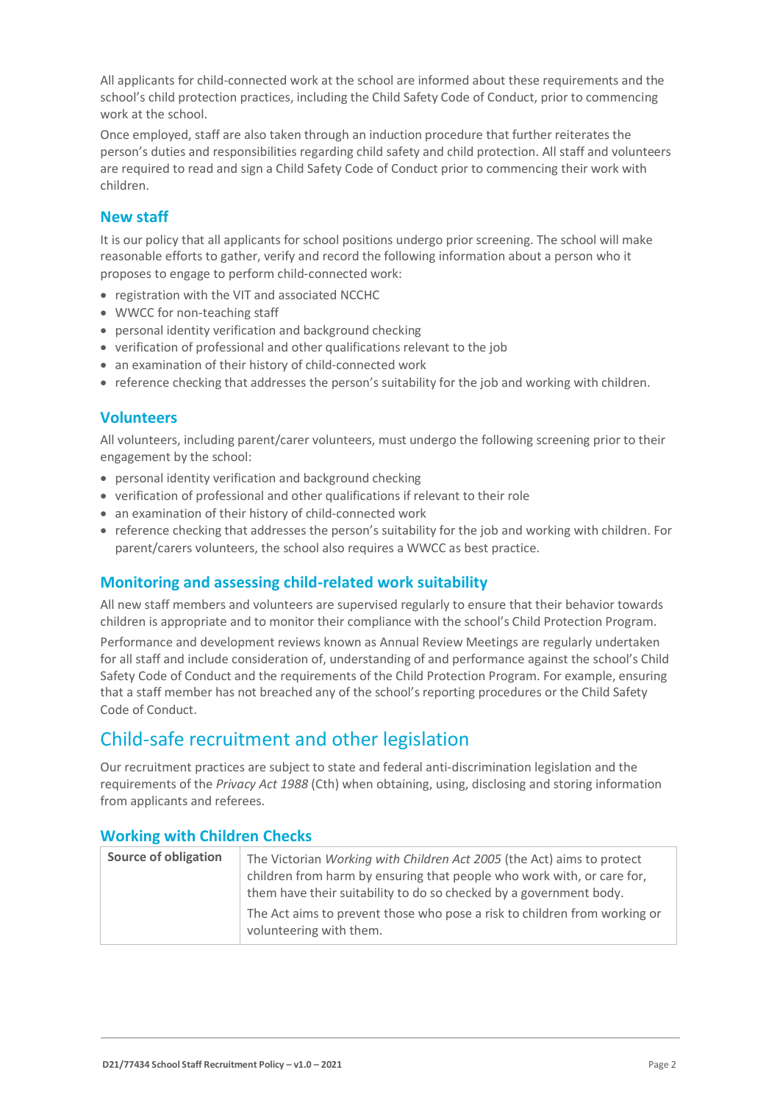All applicants for child-connected work at the school are informed about these requirements and the school's child protection practices, including the Child Safety Code of Conduct, prior to commencing work at the school.

Once employed, staff are also taken through an induction procedure that further reiterates the person's duties and responsibilities regarding child safety and child protection. All staff and volunteers are required to read and sign a Child Safety Code of Conduct prior to commencing their work with children.

### **New staff**

It is our policy that all applicants for school positions undergo prior screening. The school will make reasonable efforts to gather, verify and record the following information about a person who it proposes to engage to perform child-connected work:

- registration with the VIT and associated NCCHC
- WWCC for non-teaching staff
- personal identity verification and background checking
- verification of professional and other qualifications relevant to the job
- an examination of their history of child-connected work
- reference checking that addresses the person's suitability for the job and working with children.

#### **Volunteers**

All volunteers, including parent/carer volunteers, must undergo the following screening prior to their engagement by the school:

- personal identity verification and background checking
- verification of professional and other qualifications if relevant to their role
- an examination of their history of child-connected work
- reference checking that addresses the person's suitability for the job and working with children. For parent/carers volunteers, the school also requires a WWCC as best practice.

#### **Monitoring and assessing child-related work suitability**

All new staff members and volunteers are supervised regularly to ensure that their behavior towards children is appropriate and to monitor their compliance with the school's Child Protection Program.

Performance and development reviews known as Annual Review Meetings are regularly undertaken for all staff and include consideration of, understanding of and performance against the school's Child Safety Code of Conduct and the requirements of the Child Protection Program. For example, ensuring that a staff member has not breached any of the school's reporting procedures or the Child Safety Code of Conduct.

## Child-safe recruitment and other legislation

Our recruitment practices are subject to state and federal anti-discrimination legislation and the requirements of the *Privacy Act 1988* (Cth) when obtaining, using, disclosing and storing information from applicants and referees.

| Source of obligation | The Victorian Working with Children Act 2005 (the Act) aims to protect<br>children from harm by ensuring that people who work with, or care for,<br>them have their suitability to do so checked by a government body. |
|----------------------|------------------------------------------------------------------------------------------------------------------------------------------------------------------------------------------------------------------------|
|                      | The Act aims to prevent those who pose a risk to children from working or<br>volunteering with them.                                                                                                                   |

#### **Working with Children Checks**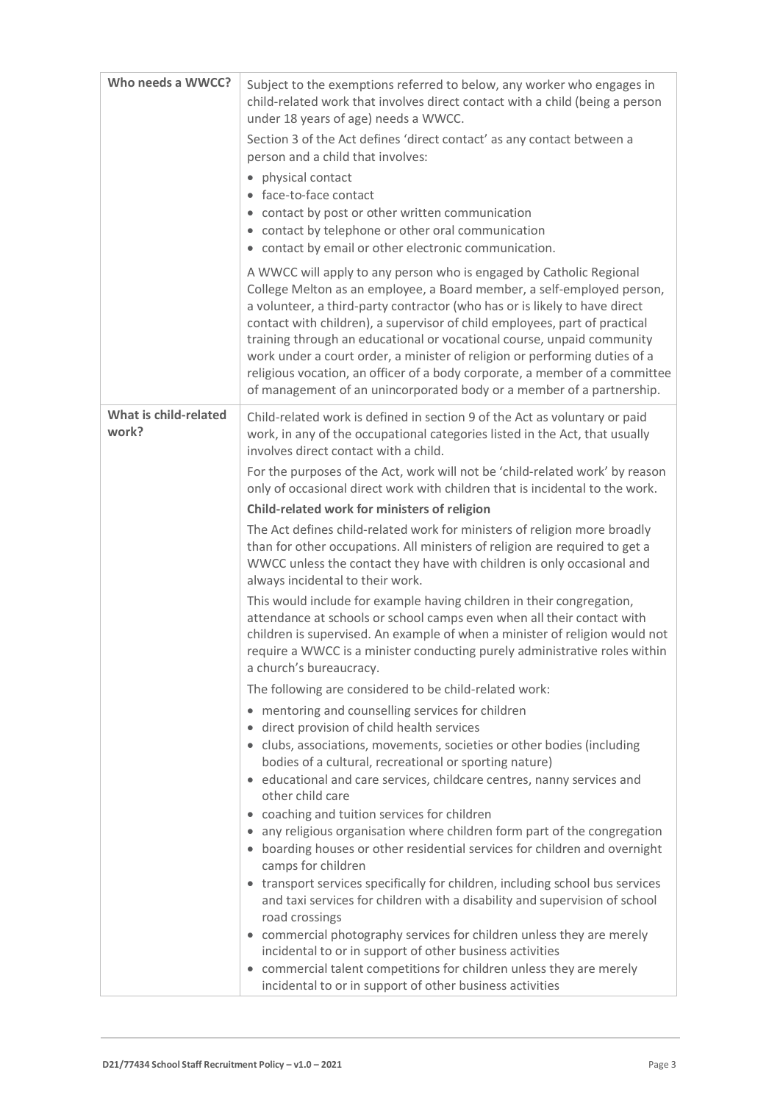| Who needs a WWCC?              | Subject to the exemptions referred to below, any worker who engages in<br>child-related work that involves direct contact with a child (being a person<br>under 18 years of age) needs a WWCC.<br>Section 3 of the Act defines 'direct contact' as any contact between a<br>person and a child that involves:<br>• physical contact<br>• face-to-face contact<br>• contact by post or other written communication<br>• contact by telephone or other oral communication<br>• contact by email or other electronic communication.<br>A WWCC will apply to any person who is engaged by Catholic Regional<br>College Melton as an employee, a Board member, a self-employed person,<br>a volunteer, a third-party contractor (who has or is likely to have direct<br>contact with children), a supervisor of child employees, part of practical<br>training through an educational or vocational course, unpaid community<br>work under a court order, a minister of religion or performing duties of a<br>religious vocation, an officer of a body corporate, a member of a committee<br>of management of an unincorporated body or a member of a partnership.                                                                                                                                                                                        |
|--------------------------------|------------------------------------------------------------------------------------------------------------------------------------------------------------------------------------------------------------------------------------------------------------------------------------------------------------------------------------------------------------------------------------------------------------------------------------------------------------------------------------------------------------------------------------------------------------------------------------------------------------------------------------------------------------------------------------------------------------------------------------------------------------------------------------------------------------------------------------------------------------------------------------------------------------------------------------------------------------------------------------------------------------------------------------------------------------------------------------------------------------------------------------------------------------------------------------------------------------------------------------------------------------------------------------------------------------------------------------------------------|
| What is child-related<br>work? | Child-related work is defined in section 9 of the Act as voluntary or paid<br>work, in any of the occupational categories listed in the Act, that usually<br>involves direct contact with a child.<br>For the purposes of the Act, work will not be 'child-related work' by reason<br>only of occasional direct work with children that is incidental to the work.<br>Child-related work for ministers of religion<br>The Act defines child-related work for ministers of religion more broadly<br>than for other occupations. All ministers of religion are required to get a<br>WWCC unless the contact they have with children is only occasional and<br>always incidental to their work.<br>This would include for example having children in their congregation,<br>attendance at schools or school camps even when all their contact with<br>children is supervised. An example of when a minister of religion would not<br>require a WWCC is a minister conducting purely administrative roles within<br>a church's bureaucracy.<br>The following are considered to be child-related work:<br>• mentoring and counselling services for children<br>direct provision of child health services<br>$\bullet$<br>• clubs, associations, movements, societies or other bodies (including<br>bodies of a cultural, recreational or sporting nature) |
|                                | • educational and care services, childcare centres, nanny services and<br>other child care<br>• coaching and tuition services for children<br>• any religious organisation where children form part of the congregation<br>• boarding houses or other residential services for children and overnight<br>camps for children<br>• transport services specifically for children, including school bus services<br>and taxi services for children with a disability and supervision of school<br>road crossings<br>• commercial photography services for children unless they are merely<br>incidental to or in support of other business activities<br>• commercial talent competitions for children unless they are merely<br>incidental to or in support of other business activities                                                                                                                                                                                                                                                                                                                                                                                                                                                                                                                                                                |